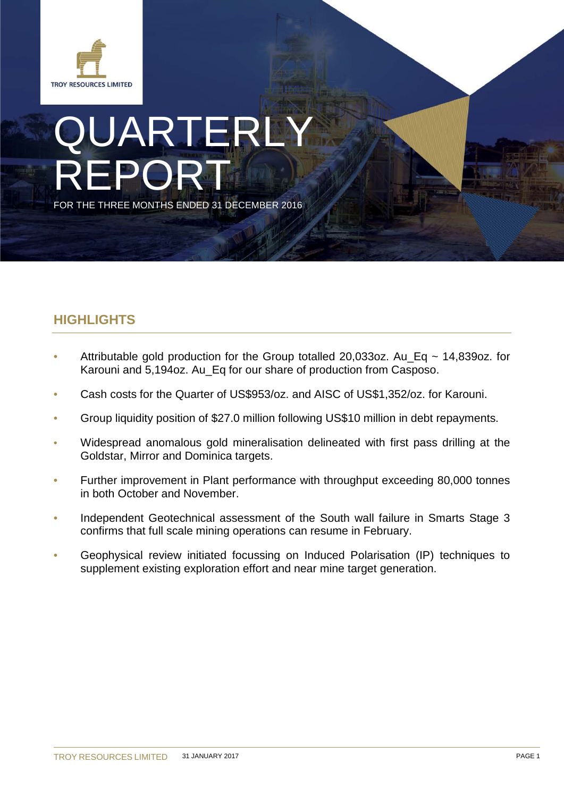

# QUARTERLY REPORT FOR THE THREE MONTHS ENDED 31 DECEMBER 2016

# **HIGHLIGHTS**

- Attributable gold production for the Group totalled 20,033oz. Au\_Eq  $\sim$  14,839oz. for Karouni and 5,194oz. Au\_Eq for our share of production from Casposo.
- Cash costs for the Quarter of US\$953/oz. and AISC of US\$1,352/oz. for Karouni.
- Group liquidity position of \$27.0 million following US\$10 million in debt repayments.
- Widespread anomalous gold mineralisation delineated with first pass drilling at the Goldstar, Mirror and Dominica targets.
- Further improvement in Plant performance with throughput exceeding 80,000 tonnes in both October and November.
- Independent Geotechnical assessment of the South wall failure in Smarts Stage 3 confirms that full scale mining operations can resume in February.
- Geophysical review initiated focussing on Induced Polarisation (IP) techniques to supplement existing exploration effort and near mine target generation.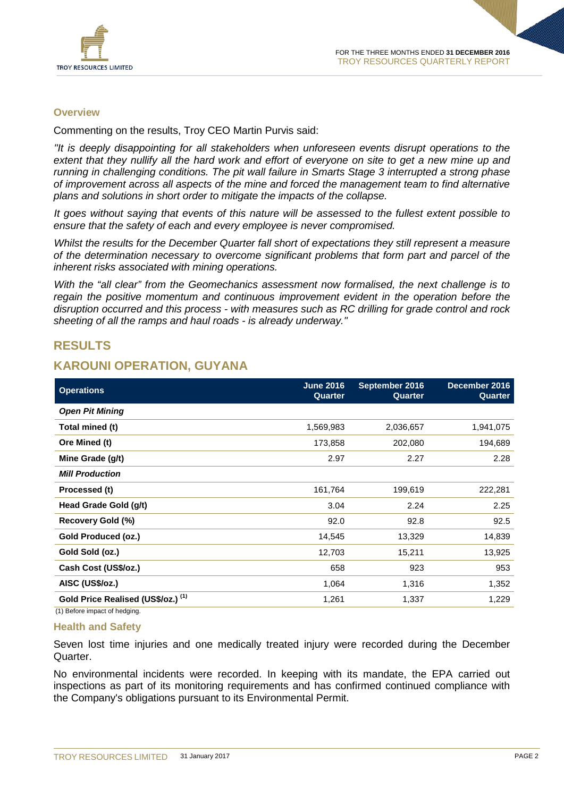

#### **Overview**

Commenting on the results, Troy CEO Martin Purvis said:

*"It is deeply disappointing for all stakeholders when unforeseen events disrupt operations to the extent that they nullify all the hard work and effort of everyone on site to get a new mine up and running in challenging conditions. The pit wall failure in Smarts Stage 3 interrupted a strong phase of improvement across all aspects of the mine and forced the management team to find alternative plans and solutions in short order to mitigate the impacts of the collapse.* 

*It goes without saying that events of this nature will be assessed to the fullest extent possible to ensure that the safety of each and every employee is never compromised.* 

*Whilst the results for the December Quarter fall short of expectations they still represent a measure of the determination necessary to overcome significant problems that form part and parcel of the inherent risks associated with mining operations.* 

*With the "all clear" from the Geomechanics assessment now formalised, the next challenge is to regain the positive momentum and continuous improvement evident in the operation before the disruption occurred and this process - with measures such as RC drilling for grade control and rock sheeting of all the ramps and haul roads - is already underway."*

### **RESULTS**

# **KAROUNI OPERATION, GUYANA**

| <b>Operations</b>                  | <b>June 2016</b><br>Quarter | September 2016<br>Quarter | December 2016<br>Quarter |
|------------------------------------|-----------------------------|---------------------------|--------------------------|
| <b>Open Pit Mining</b>             |                             |                           |                          |
| Total mined (t)                    | 1,569,983                   | 2,036,657                 | 1,941,075                |
| Ore Mined (t)                      | 173,858                     | 202,080                   | 194,689                  |
| Mine Grade (g/t)                   | 2.97                        | 2.27                      | 2.28                     |
| <b>Mill Production</b>             |                             |                           |                          |
| Processed (t)                      | 161,764                     | 199,619                   | 222,281                  |
| Head Grade Gold (g/t)              | 3.04                        | 2.24                      | 2.25                     |
| Recovery Gold (%)                  | 92.0                        | 92.8                      | 92.5                     |
| Gold Produced (oz.)                | 14,545                      | 13,329                    | 14,839                   |
| Gold Sold (oz.)                    | 12,703                      | 15,211                    | 13,925                   |
| Cash Cost (US\$/oz.)               | 658                         | 923                       | 953                      |
| AISC (US\$/oz.)                    | 1,064                       | 1,316                     | 1,352                    |
| Gold Price Realised (US\$/oz.) (1) | 1,261                       | 1,337                     | 1,229                    |
| (1) Before impact of hedging.      |                             |                           |                          |

#### **Health and Safety**

Seven lost time injuries and one medically treated injury were recorded during the December Quarter.

No environmental incidents were recorded. In keeping with its mandate, the EPA carried out inspections as part of its monitoring requirements and has confirmed continued compliance with the Company's obligations pursuant to its Environmental Permit.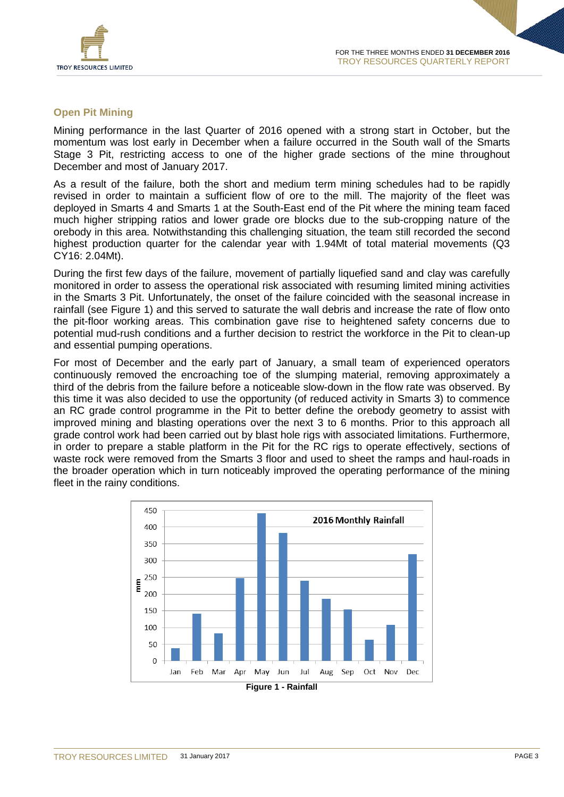

#### **Open Pit Mining**

Mining performance in the last Quarter of 2016 opened with a strong start in October, but the momentum was lost early in December when a failure occurred in the South wall of the Smarts Stage 3 Pit, restricting access to one of the higher grade sections of the mine throughout December and most of January 2017.

As a result of the failure, both the short and medium term mining schedules had to be rapidly revised in order to maintain a sufficient flow of ore to the mill. The majority of the fleet was deployed in Smarts 4 and Smarts 1 at the South-East end of the Pit where the mining team faced much higher stripping ratios and lower grade ore blocks due to the sub-cropping nature of the orebody in this area. Notwithstanding this challenging situation, the team still recorded the second highest production quarter for the calendar year with 1.94Mt of total material movements (Q3 CY16: 2.04Mt).

During the first few days of the failure, movement of partially liquefied sand and clay was carefully monitored in order to assess the operational risk associated with resuming limited mining activities in the Smarts 3 Pit. Unfortunately, the onset of the failure coincided with the seasonal increase in rainfall (see Figure 1) and this served to saturate the wall debris and increase the rate of flow onto the pit-floor working areas. This combination gave rise to heightened safety concerns due to potential mud-rush conditions and a further decision to restrict the workforce in the Pit to clean-up and essential pumping operations.

For most of December and the early part of January, a small team of experienced operators continuously removed the encroaching toe of the slumping material, removing approximately a third of the debris from the failure before a noticeable slow-down in the flow rate was observed. By this time it was also decided to use the opportunity (of reduced activity in Smarts 3) to commence an RC grade control programme in the Pit to better define the orebody geometry to assist with improved mining and blasting operations over the next 3 to 6 months. Prior to this approach all grade control work had been carried out by blast hole rigs with associated limitations. Furthermore, in order to prepare a stable platform in the Pit for the RC rigs to operate effectively, sections of waste rock were removed from the Smarts 3 floor and used to sheet the ramps and haul-roads in the broader operation which in turn noticeably improved the operating performance of the mining fleet in the rainy conditions.

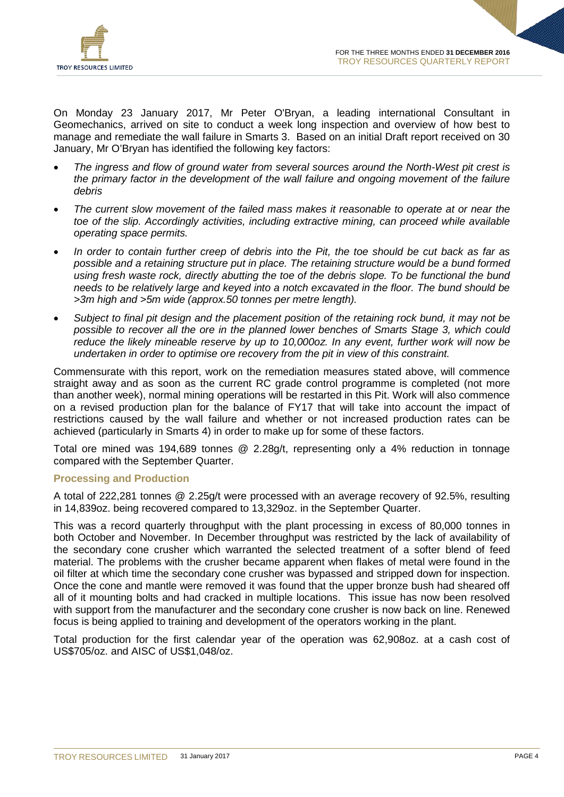

On Monday 23 January 2017, Mr Peter O'Bryan, a leading international Consultant in Geomechanics, arrived on site to conduct a week long inspection and overview of how best to manage and remediate the wall failure in Smarts 3. Based on an initial Draft report received on 30 January, Mr O'Bryan has identified the following key factors:

- *The ingress and flow of ground water from several sources around the North-West pit crest is the primary factor in the development of the wall failure and ongoing movement of the failure debris*
- *The current slow movement of the failed mass makes it reasonable to operate at or near the toe of the slip. Accordingly activities, including extractive mining, can proceed while available operating space permits.*
- *In order to contain further creep of debris into the Pit, the toe should be cut back as far as possible and a retaining structure put in place. The retaining structure would be a bund formed using fresh waste rock, directly abutting the toe of the debris slope. To be functional the bund needs to be relatively large and keyed into a notch excavated in the floor. The bund should be >3m high and >5m wide (approx.50 tonnes per metre length).*
- *Subject to final pit design and the placement position of the retaining rock bund, it may not be possible to recover all the ore in the planned lower benches of Smarts Stage 3, which could reduce the likely mineable reserve by up to 10,000oz. In any event, further work will now be undertaken in order to optimise ore recovery from the pit in view of this constraint.*

Commensurate with this report, work on the remediation measures stated above, will commence straight away and as soon as the current RC grade control programme is completed (not more than another week), normal mining operations will be restarted in this Pit. Work will also commence on a revised production plan for the balance of FY17 that will take into account the impact of restrictions caused by the wall failure and whether or not increased production rates can be achieved (particularly in Smarts 4) in order to make up for some of these factors.

Total ore mined was 194,689 tonnes @ 2.28g/t, representing only a 4% reduction in tonnage compared with the September Quarter.

#### **Processing and Production**

A total of 222,281 tonnes @ 2.25g/t were processed with an average recovery of 92.5%, resulting in 14,839oz. being recovered compared to 13,329oz. in the September Quarter.

This was a record quarterly throughput with the plant processing in excess of 80,000 tonnes in both October and November. In December throughput was restricted by the lack of availability of the secondary cone crusher which warranted the selected treatment of a softer blend of feed material. The problems with the crusher became apparent when flakes of metal were found in the oil filter at which time the secondary cone crusher was bypassed and stripped down for inspection. Once the cone and mantle were removed it was found that the upper bronze bush had sheared off all of it mounting bolts and had cracked in multiple locations. This issue has now been resolved with support from the manufacturer and the secondary cone crusher is now back on line. Renewed focus is being applied to training and development of the operators working in the plant.

Total production for the first calendar year of the operation was 62,908oz. at a cash cost of US\$705/oz. and AISC of US\$1,048/oz.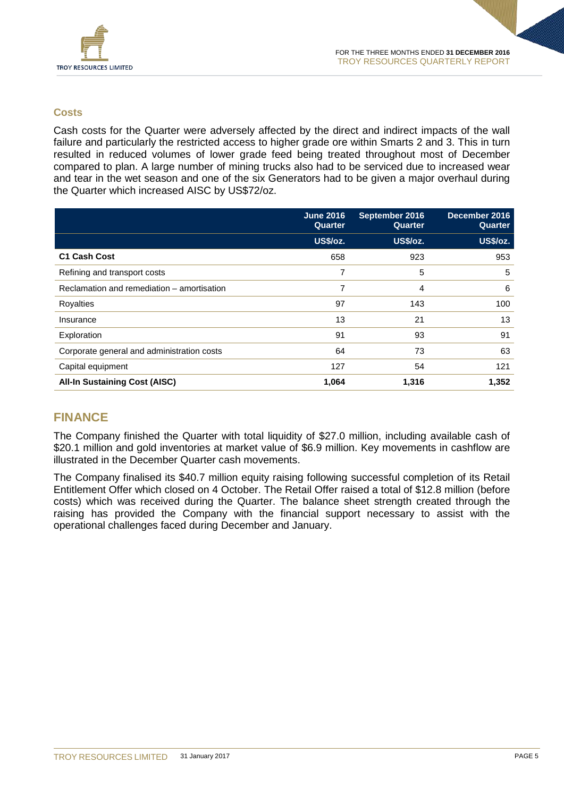

#### **Costs**

Cash costs for the Quarter were adversely affected by the direct and indirect impacts of the wall failure and particularly the restricted access to higher grade ore within Smarts 2 and 3. This in turn resulted in reduced volumes of lower grade feed being treated throughout most of December compared to plan. A large number of mining trucks also had to be serviced due to increased wear and tear in the wet season and one of the six Generators had to be given a major overhaul during the Quarter which increased AISC by US\$72/oz.

|                                            | <b>June 2016</b><br>Quarter | September 2016<br>Quarter | December 2016<br>Quarter |
|--------------------------------------------|-----------------------------|---------------------------|--------------------------|
|                                            | US\$/oz.                    | US\$/oz.                  | US\$/oz.                 |
| C1 Cash Cost                               | 658                         | 923                       | 953                      |
| Refining and transport costs               | 7                           | 5                         | 5                        |
| Reclamation and remediation – amortisation | 7                           | 4                         | 6                        |
| Royalties                                  | 97                          | 143                       | 100                      |
| Insurance                                  | 13                          | 21                        | 13                       |
| Exploration                                | 91                          | 93                        | 91                       |
| Corporate general and administration costs | 64                          | 73                        | 63                       |
| Capital equipment                          | 127                         | 54                        | 121                      |
| <b>All-In Sustaining Cost (AISC)</b>       | 1,064                       | 1,316                     | 1,352                    |

# **FINANCE**

The Company finished the Quarter with total liquidity of \$27.0 million, including available cash of \$20.1 million and gold inventories at market value of \$6.9 million. Key movements in cashflow are illustrated in the December Quarter cash movements.

The Company finalised its \$40.7 million equity raising following successful completion of its Retail Entitlement Offer which closed on 4 October. The Retail Offer raised a total of \$12.8 million (before costs) which was received during the Quarter. The balance sheet strength created through the raising has provided the Company with the financial support necessary to assist with the operational challenges faced during December and January.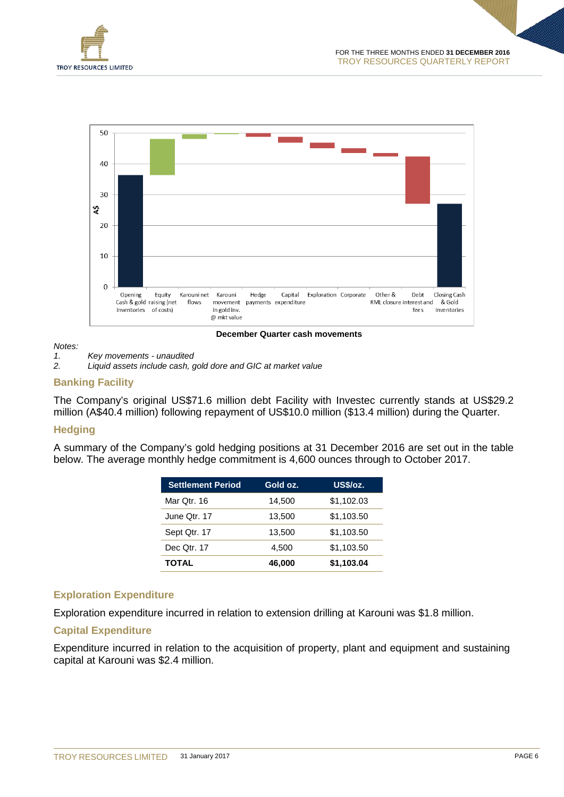



#### **December Quarter cash movements**

# *Notes:*

*1. Key movements - unaudited*

*2. Liquid assets include cash, gold dore and GIC at market value*

#### **Banking Facility**

The Company's original US\$71.6 million debt Facility with Investec currently stands at US\$29.2 million (A\$40.4 million) following repayment of US\$10.0 million (\$13.4 million) during the Quarter.

#### **Hedging**

A summary of the Company's gold hedging positions at 31 December 2016 are set out in the table below. The average monthly hedge commitment is 4,600 ounces through to October 2017.

| <b>Settlement Period</b> | Gold oz. | US\$/oz.   |
|--------------------------|----------|------------|
| Mar Qtr. 16              | 14.500   | \$1,102.03 |
| June Qtr. 17             | 13,500   | \$1,103.50 |
| Sept Qtr. 17             | 13,500   | \$1,103.50 |
| Dec Qtr. 17              | 4,500    | \$1,103.50 |
| <b>TOTAL</b>             | 46,000   | \$1,103.04 |

#### **Exploration Expenditure**

Exploration expenditure incurred in relation to extension drilling at Karouni was \$1.8 million.

#### **Capital Expenditure**

Expenditure incurred in relation to the acquisition of property, plant and equipment and sustaining capital at Karouni was \$2.4 million.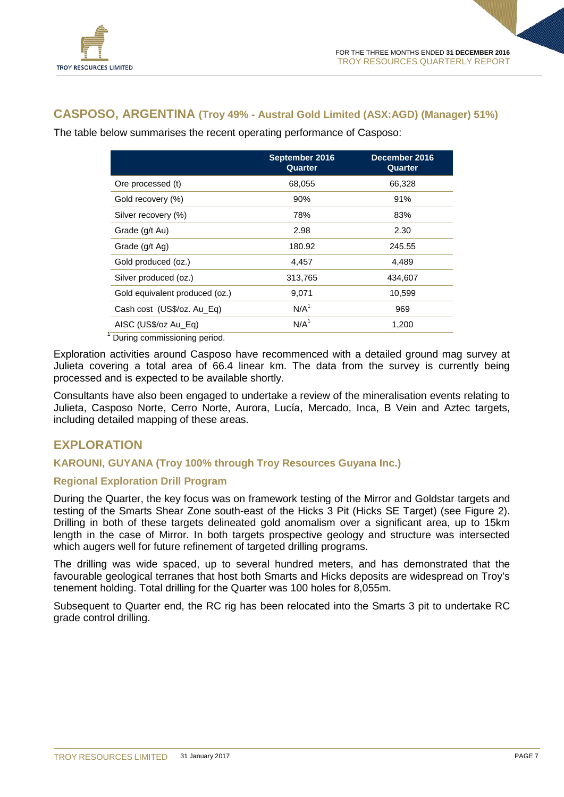

#### **CASPOSO, ARGENTINA (Troy 49% - Austral Gold Limited (ASX:AGD) (Manager) 51%)**

The table below summarises the recent operating performance of Casposo:

|                                | September 2016<br>Quarter | December 2016<br>Quarter |
|--------------------------------|---------------------------|--------------------------|
| Ore processed (t)              | 68,055                    | 66,328                   |
| Gold recovery (%)              | 90%                       | 91%                      |
| Silver recovery (%)            | 78%                       | 83%                      |
| Grade (g/t Au)                 | 2.98                      | 2.30                     |
| Grade (g/t Ag)                 | 180.92                    | 245.55                   |
| Gold produced (oz.)            | 4.457                     | 4,489                    |
| Silver produced (oz.)          | 313,765                   | 434,607                  |
| Gold equivalent produced (oz.) | 9,071                     | 10,599                   |
| Cash cost (US\$/oz. Au_Eq)     | N/A <sup>1</sup>          | 969                      |
| AISC (US\$/oz Au_Eq)           | N/A <sup>1</sup>          | 1,200                    |
|                                |                           |                          |

<sup>1</sup> During commissioning period.

Exploration activities around Casposo have recommenced with a detailed ground mag survey at Julieta covering a total area of 66.4 linear km. The data from the survey is currently being processed and is expected to be available shortly.

Consultants have also been engaged to undertake a review of the mineralisation events relating to Julieta, Casposo Norte, Cerro Norte, Aurora, Lucía, Mercado, Inca, B Vein and Aztec targets, including detailed mapping of these areas.

#### **EXPLORATION**

#### **KAROUNI, GUYANA (Troy 100% through Troy Resources Guyana Inc.)**

#### **Regional Exploration Drill Program**

During the Quarter, the key focus was on framework testing of the Mirror and Goldstar targets and testing of the Smarts Shear Zone south-east of the Hicks 3 Pit (Hicks SE Target) (see Figure 2). Drilling in both of these targets delineated gold anomalism over a significant area, up to 15km length in the case of Mirror. In both targets prospective geology and structure was intersected which augers well for future refinement of targeted drilling programs.

The drilling was wide spaced, up to several hundred meters, and has demonstrated that the favourable geological terranes that host both Smarts and Hicks deposits are widespread on Troy's tenement holding. Total drilling for the Quarter was 100 holes for 8,055m.

Subsequent to Quarter end, the RC rig has been relocated into the Smarts 3 pit to undertake RC grade control drilling.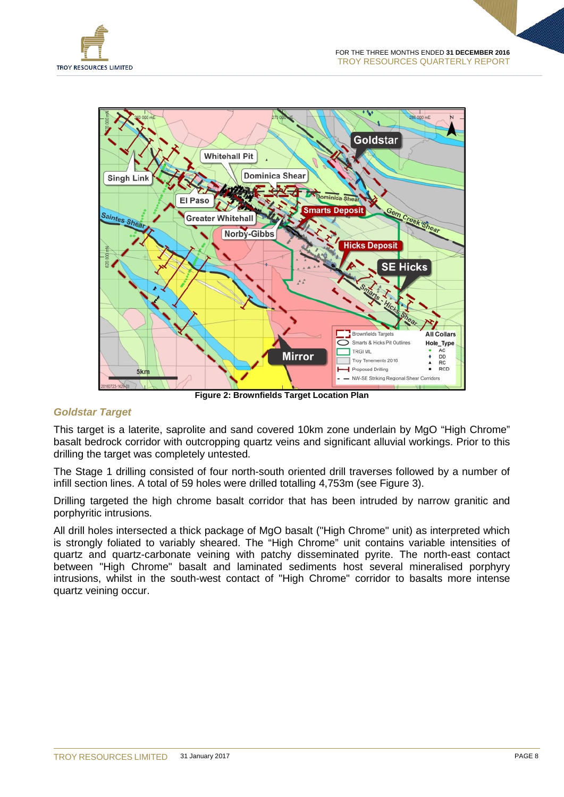

**Figure 2: Brownfields Target Location Plan**

#### *Goldstar Target*

This target is a laterite, saprolite and sand covered 10km zone underlain by MgO "High Chrome" basalt bedrock corridor with outcropping quartz veins and significant alluvial workings. Prior to this drilling the target was completely untested.

The Stage 1 drilling consisted of four north-south oriented drill traverses followed by a number of infill section lines. A total of 59 holes were drilled totalling 4,753m (see Figure 3).

Drilling targeted the high chrome basalt corridor that has been intruded by narrow granitic and porphyritic intrusions.

All drill holes intersected a thick package of MgO basalt ("High Chrome" unit) as interpreted which is strongly foliated to variably sheared. The "High Chrome" unit contains variable intensities of quartz and quartz-carbonate veining with patchy disseminated pyrite. The north-east contact between "High Chrome" basalt and laminated sediments host several mineralised porphyry intrusions, whilst in the south-west contact of "High Chrome" corridor to basalts more intense quartz veining occur.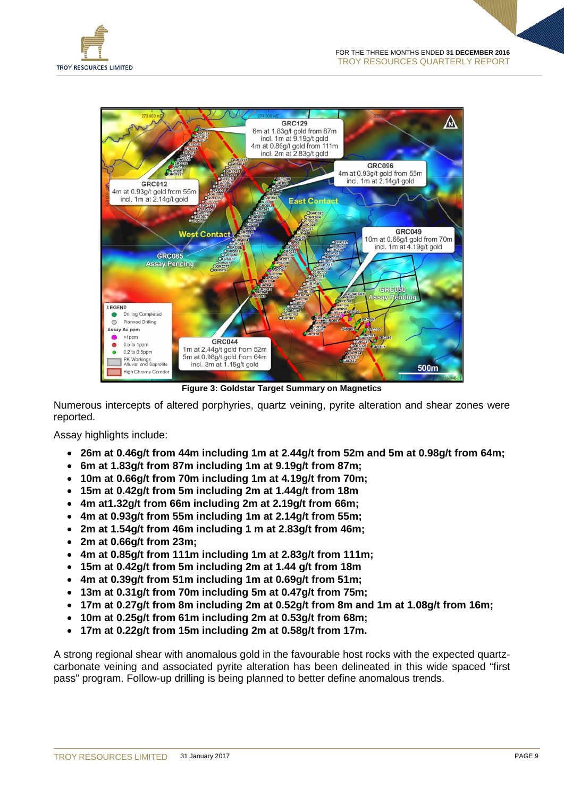



**Figure 3: Goldstar Target Summary on Magnetics**

Numerous intercepts of altered porphyries, quartz veining, pyrite alteration and shear zones were reported.

Assay highlights include:

- **26m at 0.46g/t from 44m including 1m at 2.44g/t from 52m and 5m at 0.98g/t from 64m;**
- **6m at 1.83g/t from 87m including 1m at 9.19g/t from 87m;**
- **10m at 0.66g/t from 70m including 1m at 4.19g/t from 70m;**
- **15m at 0.42g/t from 5m including 2m at 1.44g/t from 18m**
- **4m at1.32g/t from 66m including 2m at 2.19g/t from 66m;**
- **4m at 0.93g/t from 55m including 1m at 2.14g/t from 55m;**
- **2m at 1.54g/t from 46m including 1 m at 2.83g/t from 46m;**
- **2m at 0.66g/t from 23m;**
- **4m at 0.85g/t from 111m including 1m at 2.83g/t from 111m;**
- **15m at 0.42g/t from 5m including 2m at 1.44 g/t from 18m**
- **4m at 0.39g/t from 51m including 1m at 0.69g/t from 51m;**
- **13m at 0.31g/t from 70m including 5m at 0.47g/t from 75m;**
- **17m at 0.27g/t from 8m including 2m at 0.52g/t from 8m and 1m at 1.08g/t from 16m;**
- **10m at 0.25g/t from 61m including 2m at 0.53g/t from 68m;**
- **17m at 0.22g/t from 15m including 2m at 0.58g/t from 17m.**

A strong regional shear with anomalous gold in the favourable host rocks with the expected quartzcarbonate veining and associated pyrite alteration has been delineated in this wide spaced "first pass" program. Follow-up drilling is being planned to better define anomalous trends.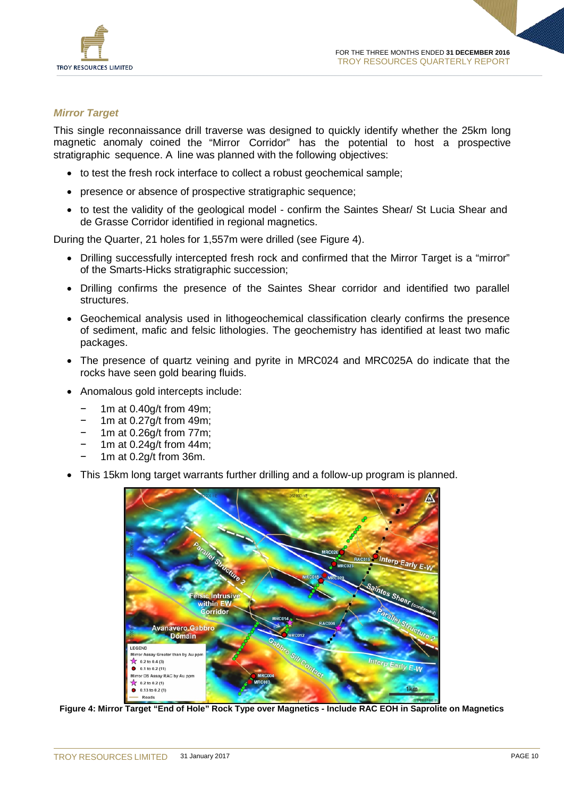

#### *Mirror Target*

This single reconnaissance drill traverse was designed to quickly identify whether the 25km long magnetic anomaly coined the "Mirror Corridor" has the potential to host a prospective stratigraphic sequence. A line was planned with the following objectives:

- to test the fresh rock interface to collect a robust geochemical sample;
- presence or absence of prospective stratigraphic sequence;
- to test the validity of the geological model confirm the Saintes Shear/ St Lucia Shear and de Grasse Corridor identified in regional magnetics.

During the Quarter, 21 holes for 1,557m were drilled (see Figure 4).

- Drilling successfully intercepted fresh rock and confirmed that the Mirror Target is a "mirror" of the Smarts-Hicks stratigraphic succession;
- Drilling confirms the presence of the Saintes Shear corridor and identified two parallel structures.
- Geochemical analysis used in lithogeochemical classification clearly confirms the presence of sediment, mafic and felsic lithologies. The geochemistry has identified at least two mafic packages.
- The presence of quartz veining and pyrite in MRC024 and MRC025A do indicate that the rocks have seen gold bearing fluids.
- Anomalous gold intercepts include:
	- 1m at 0.40g/t from 49m;
	- 1m at 0.27g/t from 49m;
	- 1m at 0.26g/t from 77m;
	- 1m at 0.24g/t from 44m;
	- 1m at 0.2g/t from 36m.
- This 15km long target warrants further drilling and a follow-up program is planned.



**Figure 4: Mirror Target "End of Hole" Rock Type over Magnetics - Include RAC EOH in Saprolite on Magnetics**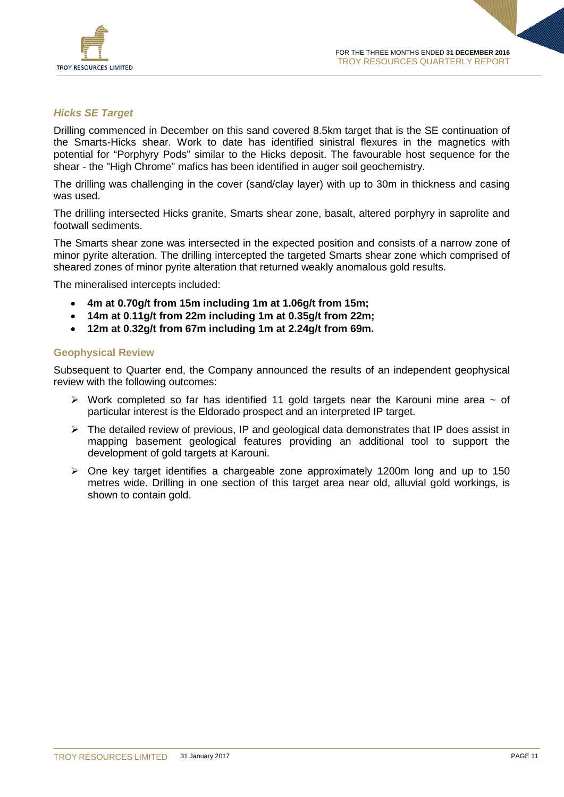

#### *Hicks SE Target*

Drilling commenced in December on this sand covered 8.5km target that is the SE continuation of the Smarts-Hicks shear. Work to date has identified sinistral flexures in the magnetics with potential for "Porphyry Pods" similar to the Hicks deposit. The favourable host sequence for the shear - the "High Chrome" mafics has been identified in auger soil geochemistry.

The drilling was challenging in the cover (sand/clay layer) with up to 30m in thickness and casing was used.

The drilling intersected Hicks granite, Smarts shear zone, basalt, altered porphyry in saprolite and footwall sediments.

The Smarts shear zone was intersected in the expected position and consists of a narrow zone of minor pyrite alteration. The drilling intercepted the targeted Smarts shear zone which comprised of sheared zones of minor pyrite alteration that returned weakly anomalous gold results.

The mineralised intercepts included:

- **4m at 0.70g/t from 15m including 1m at 1.06g/t from 15m;**
- **14m at 0.11g/t from 22m including 1m at 0.35g/t from 22m;**
- **12m at 0.32g/t from 67m including 1m at 2.24g/t from 69m.**

#### **Geophysical Review**

Subsequent to Quarter end, the Company announced the results of an independent geophysical review with the following outcomes:

- $\triangleright$  Work completed so far has identified 11 gold targets near the Karouni mine area  $\sim$  of particular interest is the Eldorado prospect and an interpreted IP target.
- $\triangleright$  The detailed review of previous, IP and geological data demonstrates that IP does assist in mapping basement geological features providing an additional tool to support the development of gold targets at Karouni.
- $\triangleright$  One key target identifies a chargeable zone approximately 1200m long and up to 150 metres wide. Drilling in one section of this target area near old, alluvial gold workings, is shown to contain gold.